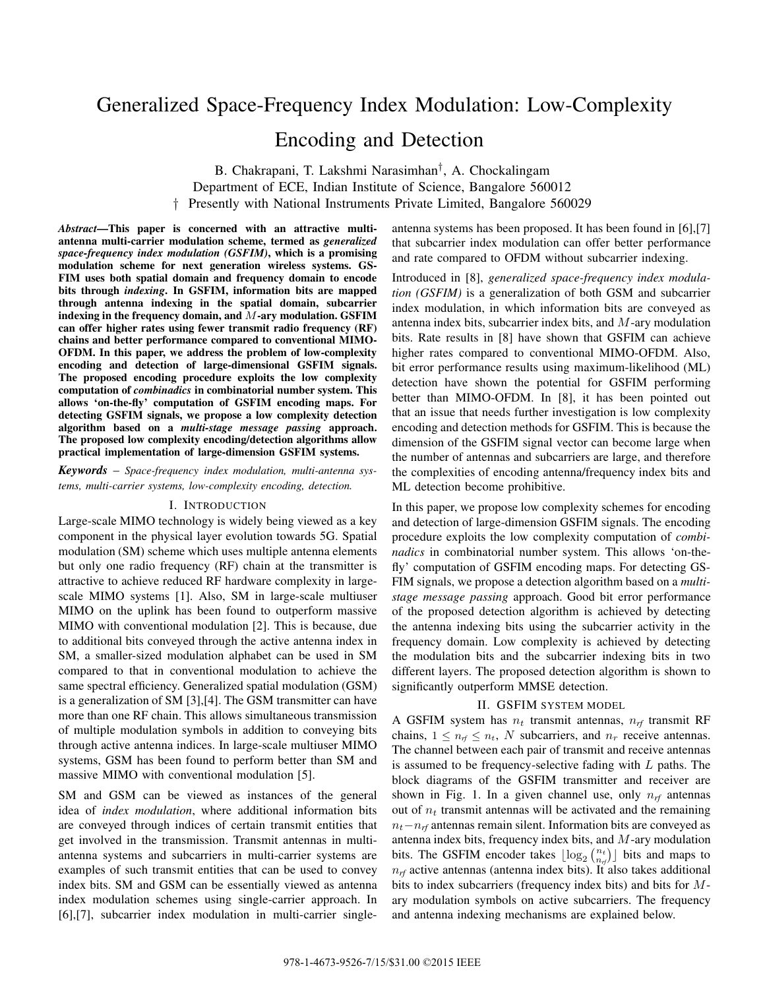# Generalized Space-Frequency Index Modulation: Low-Complexity Encoding and Detection

B. Chakrapani, T. Lakshmi Narasimhan*†*, A. Chockalingam Department of ECE, Indian Institute of Science, Bangalore 560012 † Presently with National Instruments Private Limited, Bangalore 560029

*Abstract*—This paper is concerned with an attractive multiantenna multi-carrier modulation scheme, termed as *generalized space-frequency index modulation (GSFIM)*, which is a promising modulation scheme for next generation wireless systems. GS-FIM uses both spatial domain and frequency domain to encode bits through *indexing*. In GSFIM, information bits are mapped through antenna indexing in the spatial domain, subcarrier indexing in the frequency domain, and  $M$ -ary modulation. GSFIM can offer higher rates using fewer transmit radio frequency (RF) chains and better performance compared to conventional MIMO-OFDM. In this paper, we address the problem of low-complexity encoding and detection of large-dimensional GSFIM signals. The proposed encoding procedure exploits the low complexity computation of *combinadics* in combinatorial number system. This allows 'on-the-fly' computation of GSFIM encoding maps. For detecting GSFIM signals, we propose a low complexity detection algorithm based on a *multi-stage message passing* approach. The proposed low complexity encoding/detection algorithms allow practical implementation of large-dimension GSFIM systems.

*Keywords* – *Space-frequency index modulation, multi-antenna systems, multi-carrier systems, low-complexity encoding, detection.*

### I. INTRODUCTION

Large-scale MIMO technology is widely being viewed as a key component in the physical layer evolution towards 5G. Spatial modulation (SM) scheme which uses multiple antenna elements but only one radio frequency (RF) chain at the transmitter is attractive to achieve reduced RF hardware complexity in largescale MIMO systems [1]. Also, SM in large-scale multiuser MIMO on the uplink has been found to outperform massive MIMO with conventional modulation [2]. This is because, due to additional bits conveyed through the active antenna index in SM, a smaller-sized modulation alphabet can be used in SM compared to that in conventional modulation to achieve the same spectral efficiency. Generalized spatial modulation (GSM) is a generalization of SM [3],[4]. The GSM transmitter can have more than one RF chain. This allows simultaneous transmission of multiple modulation symbols in addition to conveying bits through active antenna indices. In large-scale multiuser MIMO systems, GSM has been found to perform better than SM and massive MIMO with conventional modulation [5].

SM and GSM can be viewed as instances of the general idea of *index modulation*, where additional information bits are conveyed through indices of certain transmit entities that get involved in the transmission. Transmit antennas in multiantenna systems and subcarriers in multi-carrier systems are examples of such transmit entities that can be used to convey index bits. SM and GSM can be essentially viewed as antenna index modulation schemes using single-carrier approach. In [6],[7], subcarrier index modulation in multi-carrier singleantenna systems has been proposed. It has been found in [6],[7] that subcarrier index modulation can offer better performance and rate compared to OFDM without subcarrier indexing.

Introduced in [8], *generalized space-frequency index modulation (GSFIM)* is a generalization of both GSM and subcarrier index modulation, in which information bits are conveyed as antenna index bits, subcarrier index bits, and  $M$ -ary modulation bits. Rate results in [8] have shown that GSFIM can achieve higher rates compared to conventional MIMO-OFDM. Also, bit error performance results using maximum-likelihood (ML) detection have shown the potential for GSFIM performing better than MIMO-OFDM. In [8], it has been pointed out that an issue that needs further investigation is low complexity encoding and detection methods for GSFIM. This is because the dimension of the GSFIM signal vector can become large when the number of antennas and subcarriers are large, and therefore the complexities of encoding antenna/frequency index bits and ML detection become prohibitive.

In this paper, we propose low complexity schemes for encoding and detection of large-dimension GSFIM signals. The encoding procedure exploits the low complexity computation of *combinadics* in combinatorial number system. This allows 'on-thefly' computation of GSFIM encoding maps. For detecting GS-FIM signals, we propose a detection algorithm based on a *multistage message passing* approach. Good bit error performance of the proposed detection algorithm is achieved by detecting the antenna indexing bits using the subcarrier activity in the frequency domain. Low complexity is achieved by detecting the modulation bits and the subcarrier indexing bits in two different layers. The proposed detection algorithm is shown to significantly outperform MMSE detection.

#### II. GSFIM SYSTEM MODEL

A GSFIM system has  $n_t$  transmit antennas,  $n_{rf}$  transmit RF chains,  $1 \leq n_f \leq n_t$ , N subcarriers, and  $n_r$  receive antennas. The channel between each pair of transmit and receive antennas is assumed to be frequency-selective fading with  $L$  paths. The block diagrams of the GSFIM transmitter and receiver are shown in Fig. 1. In a given channel use, only  $n_{rf}$  antennas out of n*<sup>t</sup>* transmit antennas will be activated and the remaining n*<sup>t</sup>*−n*rf* antennas remain silent. Information bits are conveyed as antenna index bits, frequency index bits, and  $M$ -ary modulation bits. The GSFIM encoder takes  $\lfloor \log_2 {n_t \choose n_{rf}} \rfloor$  bits and maps to  $n_{rf}$  active antennas (antenna index bits). It also takes additional bits to index subcarriers (frequency index bits) and bits for Mary modulation symbols on active subcarriers. The frequency and antenna indexing mechanisms are explained below.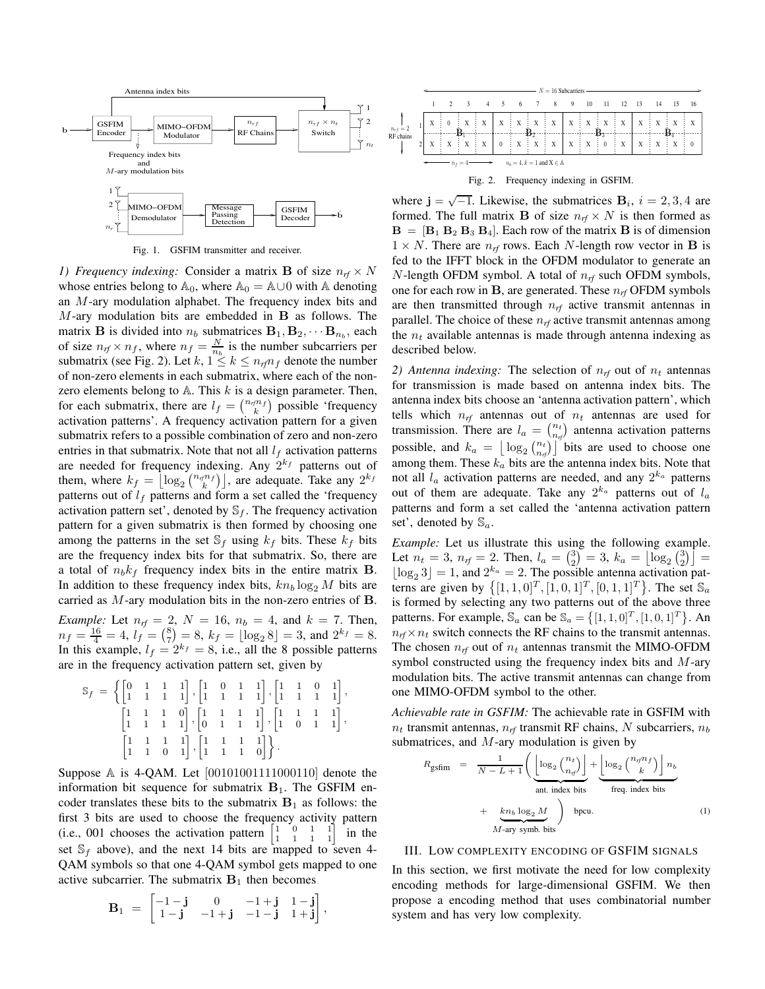

Fig. 1. GSFIM transmitter and receiver.

*1) Frequency indexing:* Consider a matrix **B** of size  $n_r f \times N$ whose entries belong to  $\mathbb{A}_0$ , where  $\mathbb{A}_0 = \mathbb{A} \cup 0$  with  $\mathbb{A}$  denoting an M-ary modulation alphabet. The frequency index bits and M-ary modulation bits are embedded in **B** as follows. The matrix **B** is divided into  $n_b$  submatrices  $\mathbf{B}_1, \mathbf{B}_2, \cdots, \mathbf{B}_{n_b}$ , each of size  $n_{rf} \times n_f$ , where  $n_f = \frac{N}{n_b}$  is the number subcarriers per<br>submatrix (see Fig. 2) Let  $k, 1 \le k \le n$ , m, denote the number submatrix (see Fig. 2). Let  $k, 1 \le k \le n_{rf}n_f$  denote the number<br>of non-zero elements in each submatrix, where each of the nonof non-zero elements in each submatrix, where each of the nonzero elements belong to  $A$ . This  $k$  is a design parameter. Then, for each submatrix, there are  $l_f = \binom{n_f n_f}{k}$  possible 'frequency<br>activation patterns'. A frequency activation pattern for a given activation patterns'. A frequency activation pattern for a given submatrix refers to a possible combination of zero and non-zero entries in that submatrix. Note that not all  $l_f$  activation patterns are needed for frequency indexing. Any  $2^{k_f}$  patterns out of them, where  $k_f = \left[ \log_2 {n_f n_f} \right]$ , are adequate. Take any  $2^{k_f}$ <br>patterns out of *l<sub>s</sub>* patterns and form a set called the 'frequency patterns out of  $l_f$  patterns and form a set called the 'frequency activation pattern set', denoted by  $\mathbb{S}_f$ . The frequency activation pattern for a given submatrix is then formed by choosing one among the patterns in the set  $\mathcal{S}_f$  using  $k_f$  bits. These  $k_f$  bits are the frequency index bits for that submatrix. So, there are a total of  $n_b k_f$  frequency index bits in the entire matrix **B**. In addition to these frequency index bits,  $k n_b \log_2 M$  bits are carried as M-ary modulation bits in the non-zero entries of **B**.

*Example:* Let  $n_{rf} = 2$ ,  $N = 16$ ,  $n_b = 4$ , and  $k = 7$ . Then,  $n_f = \frac{16}{4} = 4$ ,  $l_f = \binom{8}{7} = 8$ ,  $k_f = \lfloor \log_2 8 \rfloor = 3$ , and  $2^{k_f} = 8$ .<br>In this example  $l_f = 2^{k_f} = 8$ , i.e., all the 8 possible patterns In this example,  $l_f = 2^{k_f} = 8$ , i.e., all the 8 possible patterns are in the frequency activation pattern set, given by are in the frequency activation pattern set, given by

$$
\mathbb{S}_{f} = \left\{ \begin{bmatrix} 0 & 1 & 1 & 1 \\ 1 & 1 & 1 & 1 \end{bmatrix}, \begin{bmatrix} 1 & 0 & 1 & 1 \\ 1 & 1 & 1 & 1 \end{bmatrix}, \begin{bmatrix} 1 & 1 & 0 & 1 \\ 1 & 1 & 1 & 1 \end{bmatrix}, \begin{bmatrix} 1 & 1 & 0 & 1 \\ 1 & 1 & 1 & 1 \end{bmatrix}, \begin{bmatrix} 1 & 1 & 1 & 1 \\ 1 & 1 & 1 & 1 \end{bmatrix}, \begin{bmatrix} 1 & 1 & 1 & 1 \\ 1 & 0 & 1 & 1 \end{bmatrix}, \begin{bmatrix} 1 & 1 & 1 & 1 \\ 1 & 1 & 0 & 1 \end{bmatrix}, \begin{bmatrix} 1 & 1 & 1 & 1 \\ 1 & 1 & 1 & 0 \end{bmatrix} \right\}.
$$

Suppose <sup>A</sup> is 4-QAM. Let [00101001111000110] denote the information bit sequence for submatrix  $B_1$ . The GSFIM encoder translates these bits to the submatrix  $B_1$  as follows: the first 3 bits are used to choose the frequency activity pattern (i.e., 001 chooses the activation pattern  $\begin{bmatrix} 1 & 0 & 1 & 1 \\ 1 & 1 & 1 & 1 \\ 1 & 1 & 1 & 1 \end{bmatrix}$  in the set  $\mathbb{S}_f$  above), and the next 14 bits are mapped to seven 4-QAM symbols so that one 4-QAM symbol gets mapped to one active subcarrier. The submatrix  $B_1$  then becomes

$$
\mathbf{B}_1 = \begin{bmatrix} -1 - \mathbf{j} & 0 & -1 + \mathbf{j} & 1 - \mathbf{j} \\ 1 - \mathbf{j} & -1 + \mathbf{j} & -1 - \mathbf{j} & 1 + \mathbf{j} \end{bmatrix}
$$

,



where  $\mathbf{j} = \sqrt{-1}$ . Likewise, the submatrices  $\mathbf{B}_i$ ,  $i = 2, 3, 4$  are formed. The full matrix **B** of size  $n_f \times N$  is then formed as  $\mathbf{B} = [\mathbf{B}_1 \ \mathbf{B}_2 \ \mathbf{B}_3 \ \mathbf{B}_4]$ . Each row of the matrix **B** is of dimension  $1 \times N$ . There are  $n_{rf}$  rows. Each N-length row vector in **B** is fed to the IFFT block in the OFDM modulator to generate an N-length OFDM symbol. A total of n*rf* such OFDM symbols, one for each row in **B**, are generated. These  $n_{rf}$  OFDM symbols are then transmitted through  $n_{rf}$  active transmit antennas in parallel. The choice of these n*rf* active transmit antennas among the  $n_t$  available antennas is made through antenna indexing as described below.

2) Antenna indexing: The selection of  $n_f$  out of  $n_t$  antennas for transmission is made based on antenna index bits. The antenna index bits choose an 'antenna activation pattern', which tells which  $n_{rf}$  antennas out of  $n_t$  antennas are used for transmission. There are  $l_a = \binom{n_t}{n_f}$  antenna activation patterns possible, and  $k_a = \left\lfloor \log_2 \binom{n_t}{n_a} \right\rfloor$  bits are used to choose one<br>among them. These *k* bits are the antenna index bits. Note that among them. These  $k_a$  bits are the antenna index bits. Note that not all  $l_a$  activation patterns are needed, and any  $2^{k_a}$  patterns out of them are adequate. Take any  $2^{k_a}$  patterns out of  $l_a$ patterns and form a set called the 'antenna activation pattern set', denoted by S*a*.

*Example:* Let us illustrate this using the following example. Let  $n_t = 3$ ,  $n_{rf} = 2$ . Then,  $l_a = \binom{3}{2} = 3$ ,  $k_a = \lfloor \log_2 \binom{3}{2} \rfloor =$ <br> $\lfloor \log_2 3 \rfloor - 1$  and  $2^{k_a} = 2$ . The possible antenna activation pat- $\begin{bmatrix} 2 & 2 \\ 2 & 3 \end{bmatrix} = 1$ , and  $2^{k_a} = 2$ . The possible antenna activation pat-<br>terms are given by  $\int [1 + 0]^{T} [1 + 0]^{T} [0 + 1]^{T}$ . The set S terns are given by  $\{ [1, 1, 0]^T, [1, 0, 1]^T, [0, 1, 1]^T \}$ . The set  $\mathbb{S}_a$ <br>is formed by selecting any two patterns out of the above three is formed by selecting any two patterns out of the above three patterns. For example,  $\mathbb{S}_a$  can be  $\mathbb{S}_a = \{ [1, 1, 0]^T, [1, 0, 1]^T \}$ . An  $n_f \times n_t$  switch connects the RF chains to the transmit antennas. The chosen  $n_{rf}$  out of  $n_t$  antennas transmit the MIMO-OFDM symbol constructed using the frequency index bits and  $M$ -ary modulation bits. The active transmit antennas can change from one MIMO-OFDM symbol to the other.

*Achievable rate in GSFIM:* The achievable rate in GSFIM with  $n_t$  transmit antennas,  $n_{rf}$  transmit RF chains, N subcarriers,  $n_b$ submatrices, and  $M$ -ary modulation is given by

$$
R_{\text{gsfim}} = \frac{1}{N - L + 1} \left( \underbrace{\left\lfloor \log_2 \binom{n_t}{n_{\eta'}} \right\rfloor}_{\text{ant. index bits}} + \underbrace{\left\lfloor \log_2 \binom{n_{\eta} n_f}{k} \right\rfloor n_b}_{M - \text{ary symb. bits}} + \underbrace{\left\lfloor \log_2 \binom{n_{\eta} n_f}{k} \right\rfloor}_{\text{bpcu.}} \right)
$$
(1)

# III. LOW COMPLEXITY ENCODING OF GSFIM SIGNALS

In this section, we first motivate the need for low complexity encoding methods for large-dimensional GSFIM. We then propose a encoding method that uses combinatorial number system and has very low complexity.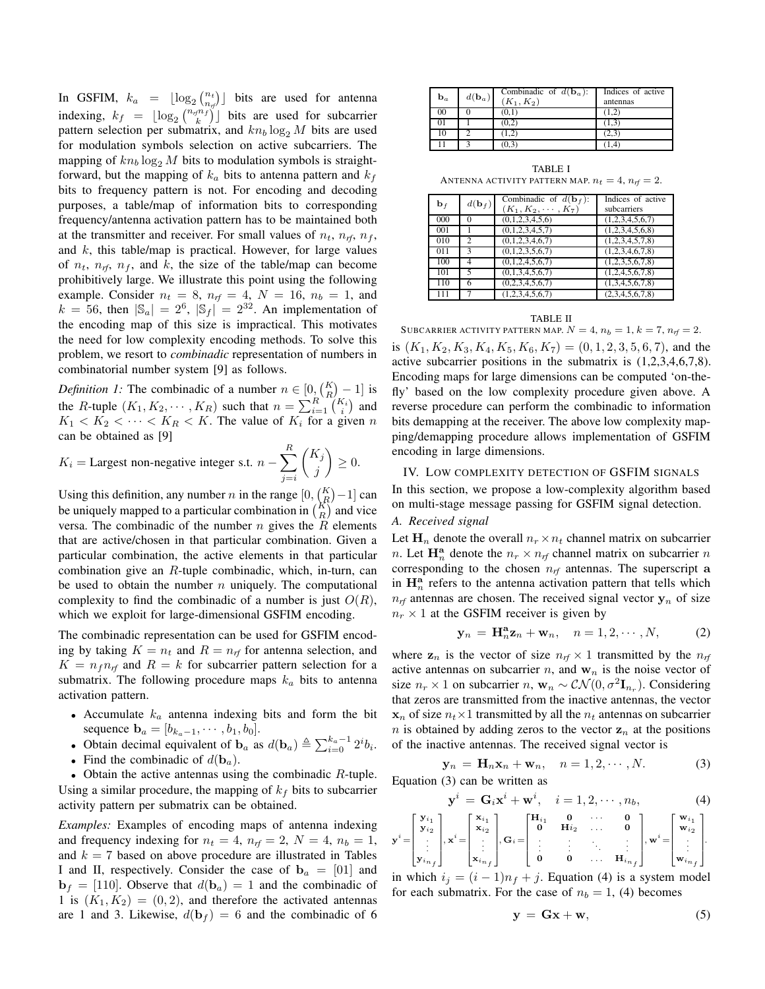In GSFIM,  $k_a = \lfloor \log_2 {n_t \choose n_f} \rfloor$  bits are used for antenna indexing,  $k_f = \lfloor \log_2 \binom{n_{rf}n_f}{k} \rfloor$  bits are used for subcarrier<br>pattern selection per submatrix and kn, log M bits are used pattern selection per submatrix, and  $kn_b \log_2 M$  bits are used<br>for modulation symbols selection on active subcarriers. The for modulation symbols selection on active subcarriers. The mapping of  $kn_b \log_2 M$  bits to modulation symbols is straightforward, but the mapping of  $k_a$  bits to antenna pattern and  $k_f$ bits to frequency pattern is not. For encoding and decoding purposes, a table/map of information bits to corresponding frequency/antenna activation pattern has to be maintained both at the transmitter and receiver. For small values of  $n_t$ ,  $n_{rf}$ ,  $n_f$ , and  $k$ , this table/map is practical. However, for large values of  $n_t$ ,  $n_f$ ,  $n_f$ , and  $k$ , the size of the table/map can become prohibitively large. We illustrate this point using the following example. Consider  $n_t = 8$ ,  $n_{rf} = 4$ ,  $N = 16$ ,  $n_b = 1$ , and  $k = 56$ , then  $|S| = 2^6$ ,  $|S_1| = 2^{32}$ . An implementation of  $k = 56$ , then  $|\mathbb{S}_a| = 2^6$ ,  $|\mathbb{S}_f| = 2^{32}$ . An implementation of the encoding map of this size is impractical. This motivates the encoding map of this size is impractical. This motivates the need for low complexity encoding methods. To solve this problem, we resort to *combinadic* representation of numbers in combinatorial number system [9] as follows.

*Definition 1:* The combinadic of a number  $n \in [0, {K \choose R} - 1]$  is<br>the *R* turbe  $(K - K)$  cuch that  $n = \sum_{k=1}^{R} {K_i \choose k}$  and the R-tuple  $(K_1, K_2, \dots, K_R)$  such that  $n = \sum_{i=1}^{R} {K_i \choose i}$  and  $K_i < K_i < K_i > K_i > K_i$ . The value of K<sub>i</sub> for a given n  $K_1 < K_2 < \cdots < K_R < K$ . The value of  $K_i$  for a given n can be obtained as [9] *R*

$$
K_i = \text{Largest non-negative integer s.t. } n - \sum_{j=i}^{n} \binom{K_j}{j} \ge 0.
$$

Using this definition, any number *n* in the range  $[0, {K \choose R} - 1]$  can be uniquely mapped to a particular combination in  ${K \choose R}$  and vice versa. The combinadic of the number  $n$  gives the  $\tilde{R}$  elements that are active/chosen in that particular combination. Given a particular combination, the active elements in that particular combination give an R-tuple combinadic, which, in-turn, can be used to obtain the number  $n$  uniquely. The computational complexity to find the combinadic of a number is just  $O(R)$ , which we exploit for large-dimensional GSFIM encoding.

The combinadic representation can be used for GSFIM encoding by taking  $K = n_t$  and  $R = n_{rf}$  for antenna selection, and  $K = n_f n_{rf}$  and  $R = k$  for subcarrier pattern selection for a submatrix. The following procedure maps k*<sup>a</sup>* bits to antenna activation pattern.

- Accumulate k*<sup>a</sup>* antenna indexing bits and form the bit sequence  $$
- Obtain decimal equivalent of **b**<sub>*a*</sub> as  $d(\mathbf{b}_a) \triangleq \sum_{i=0}^{k_a-1} 2^i b_i$ .
- Find the combinadic of  $d(\mathbf{b}_a)$ .

• Obtain the active antennas using the combinadic  $R$ -tuple. Using a similar procedure, the mapping of  $k_f$  bits to subcarrier activity pattern per submatrix can be obtained.

*Examples:* Examples of encoding maps of antenna indexing and frequency indexing for  $n_t = 4$ ,  $n_{rf} = 2$ ,  $N = 4$ ,  $n_b = 1$ , and  $k = 7$  based on above procedure are illustrated in Tables I and II, respectively. Consider the case of  $\mathbf{b}_a = \begin{bmatrix} 0 & 1 \end{bmatrix}$  and  $\mathbf{b}_f = [110]$ . Observe that  $d(\mathbf{b}_a) = 1$  and the combinadic of 1 is  $(K_1, K_2) = (0, 2)$ , and therefore the activated antennas are 1 and 3. Likewise,  $d(\mathbf{b}_f) = 6$  and the combinadic of 6

| $\mathbf{b}_a$ | $d(\mathbf{b}_a)$ | Combinadic of $d(\mathbf{b}_a)$ :<br>$(K_1, K_2)$ | Indices of active<br>antennas |
|----------------|-------------------|---------------------------------------------------|-------------------------------|
| 00             |                   | (0.1)                                             | (1.2)                         |
|                |                   | (0.2)                                             | (1.3)                         |
| 10             |                   |                                                   | 2,3                           |
|                |                   |                                                   |                               |

TABLE I ANTENNA ACTIVITY PATTERN MAP.  $n_t = 4$ ,  $n_{rf} = 2$ .

| $\mathbf{b}_f$ | $d(\mathbf{b}_f)$           | Combinadic of $d(\mathbf{b}_f)$ :<br>$(K_1, K_2, \cdots, K_7)$ | Indices of active<br>subcarriers |
|----------------|-----------------------------|----------------------------------------------------------------|----------------------------------|
| 000            | $\Omega$                    | (0,1,2,3,4,5,6)                                                | (1,2,3,4,5,6,7)                  |
| 001            |                             | (0,1,2,3,4,5,7)                                                | (1,2,3,4,5,6,8)                  |
| 010            | $\mathcal{D}_{\mathcal{L}}$ | (0,1,2,3,4,6,7)                                                | (1,2,3,4,5,7,8)                  |
| 011            | $\mathbf{3}$                | (0,1,2,3,5,6,7)                                                | (1,2,3,4,6,7,8)                  |
| 100            | 4                           | (0,1,2,4,5,6,7)                                                | (1,2,3,5,6,7,8)                  |
| 101            |                             | (0,1,3,4,5,6,7)                                                | (1,2,4,5,6,7,8)                  |
| 110            | 6                           | (0,2,3,4,5,6,7)                                                | (1,3,4,5,6,7,8)                  |
| 111            |                             | (1,2,3,4,5,6,7)                                                | (2,3,4,5,6,7,8)                  |

#### TABLE II

SUBCARRIER ACTIVITY PATTERN MAP.  $N = 4$ ,  $n_b = 1$ ,  $k = 7$ ,  $n_f = 2$ . is  $(K_1, K_2, K_3, K_4, K_5, K_6, K_7) = (0, 1, 2, 3, 5, 6, 7)$ , and the active subcarrier positions in the submatrix is (1,2,3,4,6,7,8). Encoding maps for large dimensions can be computed 'on-thefly' based on the low complexity procedure given above. A reverse procedure can perform the combinadic to information bits demapping at the receiver. The above low complexity mapping/demapping procedure allows implementation of GSFIM encoding in large dimensions.

## IV. LOW COMPLEXITY DETECTION OF GSFIM SIGNALS

In this section, we propose a low-complexity algorithm based on multi-stage message passing for GSFIM signal detection.

## *A. Received signal*

Let  $\mathbf{H}_n$  denote the overall  $n_r \times n_t$  channel matrix on subcarrier *n*. Let  $\mathbf{H}_n^{\mathbf{a}}$  denote the  $n_r \times n_f$  channel matrix on subcarrier *n* corresponding to the chosen  $n_f$  antennas. The superscript **a** in  $\mathbf{H}_n^{\mathbf{a}}$  refers to the antenna activation pattern that tells which  $n_f$  antennas are chosen. The received signal vector  $y_n$  of size  $n_r \times 1$  at the GSFIM receiver is given by

$$
\mathbf{y}_n = \mathbf{H}_n^{\mathbf{a}} \mathbf{z}_n + \mathbf{w}_n, \quad n = 1, 2, \cdots, N,
$$
 (2)

where  $z_n$  is the vector of size  $n_r \times 1$  transmitted by the  $n_r$ active antennas on subcarrier n, and  $w<sub>n</sub>$  is the noise vector of size  $n_r \times 1$  on subcarrier  $n$ ,  $\mathbf{w}_n \sim \mathcal{CN}(0, \sigma^2 \mathbf{I}_{n_r})$ . Considering that zeros are transmitted from the inactive antennas, the vector  $x_n$  of size  $n_t \times 1$  transmitted by all the  $n_t$  antennas on subcarrier n is obtained by adding zeros to the vector  $z_n$  at the positions of the inactive antennas. The received signal vector is

$$
\mathbf{y}_n = \mathbf{H}_n \mathbf{x}_n + \mathbf{w}_n, \quad n = 1, 2, \cdots, N. \tag{3}
$$

Equation (3) can be written as

$$
\mathbf{y}^i = \mathbf{G}_i \mathbf{x}^i + \mathbf{w}^i, \quad i = 1, 2, \cdots, n_b,
$$
 (4)

$$
\mathbf{y}^i\!=\!\!\begin{bmatrix} \mathbf{y}_{i_1} \\ \mathbf{y}_{i_2} \\ \vdots \\ \mathbf{y}_{i_{n_f}} \end{bmatrix}\!,\mathbf{x}^i\!=\!\!\begin{bmatrix} \mathbf{x}_{i_1} \\ \mathbf{x}_{i_2} \\ \vdots \\ \mathbf{x}_{i_{n_f}} \end{bmatrix}\!,\mathbf{G}_i\!=\!\!\begin{bmatrix} \mathbf{H}_{i_1} & \mathbf{0} & \cdots & \mathbf{0} \\ \mathbf{0} & \mathbf{H}_{i_2} & \cdots & \mathbf{0} \\ \vdots & \vdots & \ddots & \vdots \\ \mathbf{0} & \mathbf{0} & \cdots & \mathbf{H}_{i_{n_f}} \end{bmatrix}\!,\mathbf{w}^i\!=\!\!\begin{bmatrix} \mathbf{w}_{i_1} \\ \mathbf{w}_{i_2} \\ \vdots \\ \mathbf{w}_{i_{n_f}} \end{bmatrix}\!.
$$

in which  $i_j = (i - 1)n_f + j$ . Equation (4) is a system model for each submatrix. For the case of  $n_b = 1$ , (4) becomes

$$
y = Gx + w,\t\t(5)
$$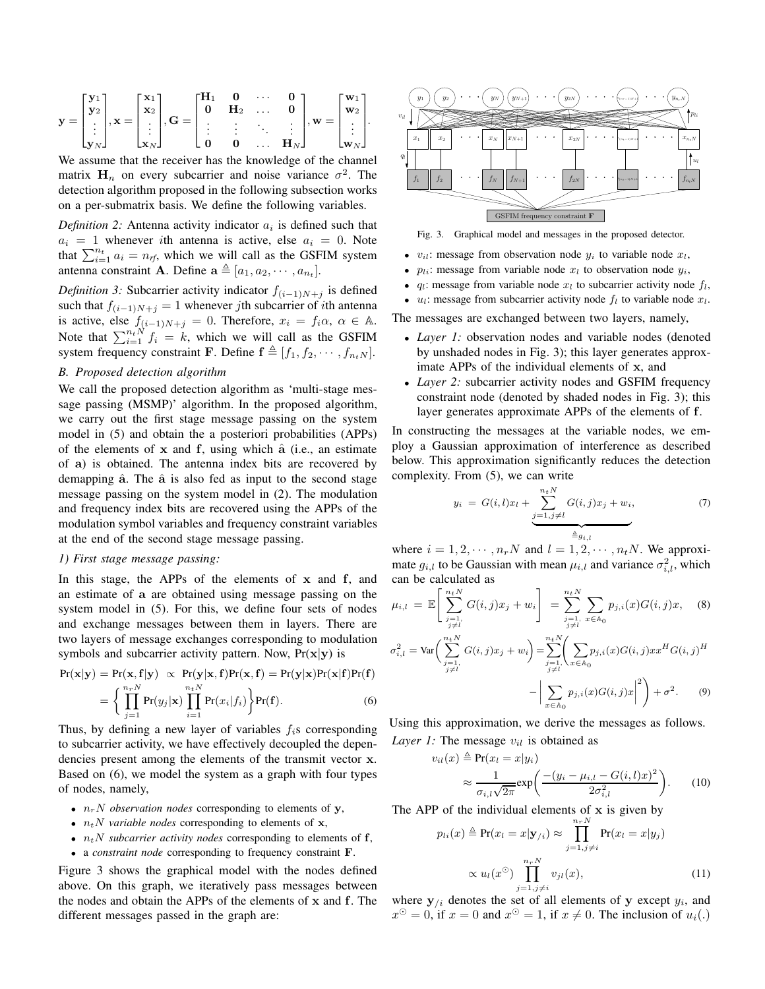$$
\mathbf{y} = \begin{bmatrix} \mathbf{y}_1 \\ \mathbf{y}_2 \\ \vdots \\ \mathbf{y}_N \end{bmatrix}, \mathbf{x} = \begin{bmatrix} \mathbf{x}_1 \\ \mathbf{x}_2 \\ \vdots \\ \mathbf{x}_N \end{bmatrix}, \mathbf{G} = \begin{bmatrix} \mathbf{H}_1 & \mathbf{0} & \cdots & \mathbf{0} \\ \mathbf{0} & \mathbf{H}_2 & \cdots & \mathbf{0} \\ \vdots & \vdots & \ddots & \vdots \\ \mathbf{0} & \mathbf{0} & \cdots & \mathbf{H}_N \end{bmatrix}, \mathbf{w} = \begin{bmatrix} \mathbf{w}_1 \\ \mathbf{w}_2 \\ \vdots \\ \mathbf{w}_N \end{bmatrix}.
$$

We assume that the receiver has the knowledge of the channel matrix  $H_n$  on every subcarrier and noise variance  $\sigma^2$ . The detection algorithm proposed in the following subsection works on a per-submatrix basis. We define the following variables.

*Definition 2:* Antenna activity indicator  $a_i$  is defined such that  $a_i = 1$  whenever *i*th antenna is active, else  $a_i = 0$ . Note that  $\sum_{i=1}^{n_t} a_i = n_f$ , which we will call as the GSFIM system<br>antenna constraint A. Define  $a \triangleq [a_1, a_2, \ldots, a_n]$ antenna constraint **A**. Define  $\mathbf{a} \triangleq [a_1, a_2, \cdots, a_{n_t}].$ 

*Definition 3:* Subcarrier activity indicator  $f_{(i-1)N+j}$  is defined such that  $f_{(i-1)N+j} = 1$  whenever *j*th subcarrier of *i*th antenna is active, else  $f_{(i-1)N+j} = 0$ . Therefore,  $x_i = f_i \alpha$ ,  $\alpha \in \mathbb{A}$ .<br>Note that  $\sum_{i=1}^{n_i N} f_i = k$ , which we will call as the GSFIM<br>system frequency constraint **F**. Define  $f \triangleq [f, f_1, \ldots, f_{nN}]$ system frequency constraint **F**. Define  $\mathbf{f} \triangleq [f_1, f_2, \dots, f_{n_t}y].$ 

## *B. Proposed detection algorithm*

We call the proposed detection algorithm as 'multi-stage message passing (MSMP)' algorithm. In the proposed algorithm, we carry out the first stage message passing on the system model in (5) and obtain the a posteriori probabilities (APPs) of the elements of **<sup>x</sup>** and **<sup>f</sup>**, using which **<sup>a</sup>**<sup>ˆ</sup> (i.e., an estimate of **a**) is obtained. The antenna index bits are recovered by demapping  $\hat{a}$ . The  $\hat{a}$  is also fed as input to the second stage message passing on the system model in (2). The modulation and frequency index bits are recovered using the APPs of the modulation symbol variables and frequency constraint variables at the end of the second stage message passing.

#### *1) First stage message passing:*

In this stage, the APPs of the elements of **x** and **f**, and an estimate of **a** are obtained using message passing on the system model in (5). For this, we define four sets of nodes and exchange messages between them in layers. There are two layers of message exchanges corresponding to modulation symbols and subcarrier activity pattern. Now,  $Pr(x|y)$  is

$$
Pr(\mathbf{x}|\mathbf{y}) = Pr(\mathbf{x}, \mathbf{f}|\mathbf{y}) \propto Pr(\mathbf{y}|\mathbf{x}, \mathbf{f}) Pr(\mathbf{x}, \mathbf{f}) = Pr(\mathbf{y}|\mathbf{x}) Pr(\mathbf{x}|\mathbf{f}) Pr(\mathbf{f})
$$

$$
= \left\{ \prod_{j=1}^{n_r N} Pr(y_j|\mathbf{x}) \prod_{i=1}^{n_t N} Pr(x_i|f_i) \right\} Pr(\mathbf{f}). \tag{6}
$$

Thus, by defining a new layer of variables f*i*s corresponding to subcarrier activity, we have effectively decoupled the dependencies present among the elements of the transmit vector **x**. Based on (6), we model the system as a graph with four types of nodes, namely,

- $n_rN$  *observation nodes* corresponding to elements of **y**,
- $n_t N$  *variable nodes* corresponding to elements of **x**,
- $n_t N$  *subcarrier activity nodes* corresponding to elements of **f**,
- a *constraint node* corresponding to frequency constraint **F**.

Figure 3 shows the graphical model with the nodes defined above. On this graph, we iteratively pass messages between the nodes and obtain the APPs of the elements of **x** and **f**. The different messages passed in the graph are:



Fig. 3. Graphical model and messages in the proposed detector.

- $v_{il}$ : message from observation node  $y_i$  to variable node  $x_l$ ,
- $p_{li}$ : message from variable node  $x_l$  to observation node  $y_i$ ,
- $q_l$ : message from variable node  $x_l$  to subcarrier activity node  $f_l$ ,
- $u_l$ : message from subcarrier activity node  $f_l$  to variable node  $x_l$ .

The messages are exchanged between two layers, namely,

- *Layer 1:* observation nodes and variable nodes (denoted by unshaded nodes in Fig. 3); this layer generates approximate APPs of the individual elements of **x**, and
- *Layer 2:* subcarrier activity nodes and GSFIM frequency constraint node (denoted by shaded nodes in Fig. 3); this layer generates approximate APPs of the elements of **f**.

In constructing the messages at the variable nodes, we employ a Gaussian approximation of interference as described below. This approximation significantly reduces the detection complexity. From (5), we can write

$$
y_i = G(i, l)x_l + \underbrace{\sum_{j=1, j \neq l}^{n_t N} G(i, j)x_j + w_i}_{\triangleq g_{i, l}}, \tag{7}
$$

where  $i = 1, 2, \dots, n_rN$  and  $l = 1, 2, \dots, n_tN$ . We approximate  $q_i$ , to be Gaussian with mean  $y_i$ , and variance  $\sigma^2$ , which mate  $g_{i,l}$  to be Gaussian with mean  $\mu_{i,l}$  and variance  $\sigma_{i,l}^2$ , which can be calculated as

$$
\mu_{i,l} = \mathbb{E}\left[\sum_{\substack{j=1,\\j\neq l}}^{n_t N} G(i,j)x_j + w_i\right] = \sum_{\substack{j=1,\\j\neq l}}^{n_t N} \sum_{x \in A_0} p_{j,i}(x)G(i,j)x, \quad (8)
$$

$$
\sigma_{i,l}^{2} = \text{Var}\bigg(\sum_{\substack{j=1, \\ j \neq l}}^{n_{t}N} G(i,j)x_{j} + w_{i}\bigg) = \sum_{\substack{j=1, \\ j \neq l}}^{n_{t}N} \bigg(\sum_{x \in \mathbb{A}_{0}} p_{j,i}(x)G(i,j)x^{H}G(i,j)^{H}
$$

$$
-\bigg|\sum_{x \in \mathbb{A}_{0}} p_{j,i}(x)G(i,j)x\bigg|^{2}\bigg) + \sigma^{2}.
$$
 (9)

Using this approximation, we derive the messages as follows. *Layer 1:* The message  $v_{il}$  is obtained as

$$
v_{il}(x) \triangleq \Pr(x_l = x|y_i)
$$
  
 
$$
\approx \frac{1}{\sigma_{i,l}\sqrt{2\pi}} \exp\left(\frac{-(y_i - \mu_{i,l} - G(i,l)x)^2}{2\sigma_{i,l}^2}\right).
$$
 (10)

The APP of the individual elements of  $\bf{x}$  is given by

$$
p_{li}(x) \triangleq \Pr(x_l = x | \mathbf{y}_{/i}) \approx \prod_{j=1, j \neq i}^{n_r N} \Pr(x_l = x | y_j)
$$

$$
\propto u_l(x^{\odot}) \prod_{j=1, j \neq i}^{n_r N} v_{jl}(x), \tag{11}
$$

where  $\mathbf{y}_{/i}$  denotes the set of all elements of  $\mathbf{y}$  except  $y_i$ , and  $x^{\odot} = 0$ , if  $x = 0$  and  $x^{\odot} = 1$ , if  $x \neq 0$ . The inclusion of  $u_i(.)$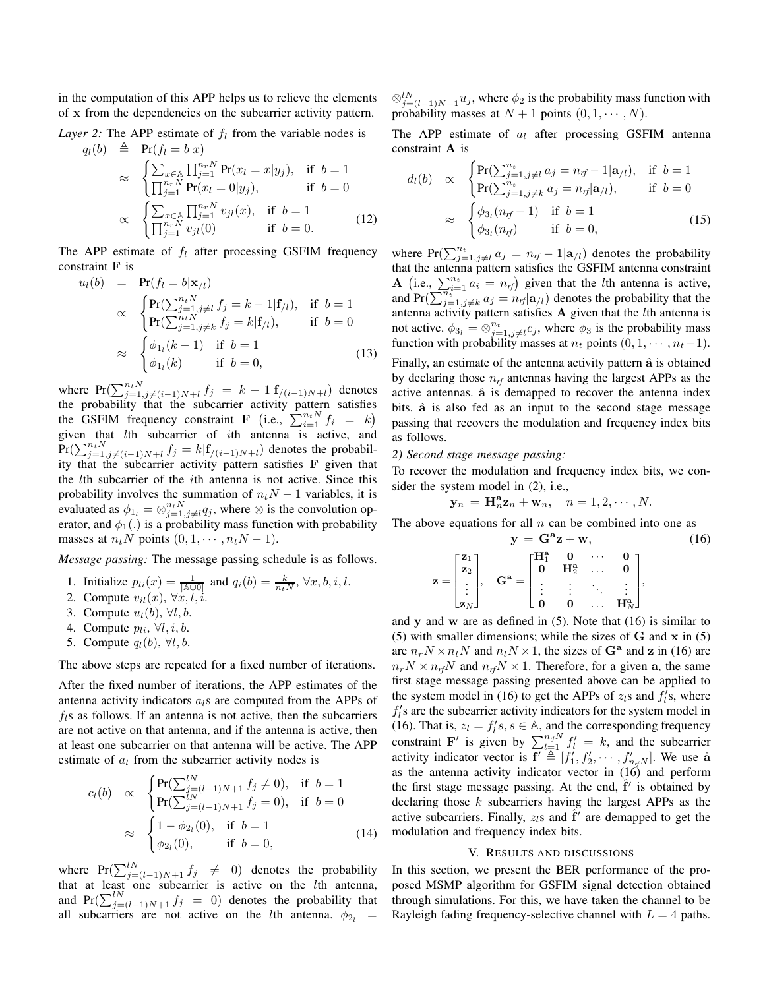in the computation of this APP helps us to relieve the elements of **x** from the dependencies on the subcarrier activity pattern.

*Layer 2:* The APP estimate of  $f_l$  from the variable nodes is

$$
q_l(b) \triangleq Pr(f_l = b|x) \n\approx \begin{cases} \sum_{x \in \mathbb{A}} \prod_{j=1}^{n_r N} Pr(x_l = x|y_j), & \text{if } b = 1 \\ \prod_{j=1}^{n_r N} Pr(x_l = 0|y_j), & \text{if } b = 0 \end{cases} \n\propto \begin{cases} \sum_{x \in \mathbb{A}} \prod_{j=1}^{n_r N} v_{jl}(x), & \text{if } b = 1 \\ \prod_{j=1}^{n_r N} v_{jl}(0) & \text{if } b = 0. \end{cases}
$$
\n(12)

The APP estimate of  $f_l$  after processing GSFIM frequency constraint **F** is

$$
u_l(b) = \Pr(f_l = b | \mathbf{x}_{/l})
$$
  
\n
$$
\propto \begin{cases} \Pr(\sum_{j=1, j \neq l}^{n_t N} f_j = k - 1 | \mathbf{f}_{/l}), & \text{if } b = 1 \\ \Pr(\sum_{j=1, j \neq k}^{n_t N} f_j = k | \mathbf{f}_{/l}), & \text{if } b = 0 \end{cases}
$$
  
\n
$$
\approx \begin{cases} \phi_{1_l}(k-1) & \text{if } b = 1 \\ \phi_{1_l}(k) & \text{if } b = 0, \end{cases}
$$
 (13)

where  $Pr(\sum_{j=1, j\neq(i-1)N+l}^{n_t N} f_j = k-1|f_{/(i-1)N+l})$  denotes the probability that the subcarrier activity pattern satisfies the GSFIM frequency constraint **F** (i.e.,  $\sum_{i=1}^{n_t N} f_i = k$ )<br>given that *l*th subcarrier of *i*th antenna is active and given that *l*th subcarrier of *i*th antenna is active, and  $\Pr(\sum_{j=1, j\neq(i-1)N+l}^{n_t N} f_j = k | \mathbf{f}_{/(i-1)N+l})$  denotes the probabil-<br>ity that the subcarrier activity pattern satisfies **F** given that ity that the subcarrier activity pattern satisfies **F** given that the lth subcarrier of the ith antenna is not active. Since this probability involves the summation of  $n_tN - 1$  variables, it is<br>evaluated as  $\phi_t = \phi^{n_tN}$  as where  $\phi$  is the convolution onevaluated as  $\phi_{1_l} = \bigotimes_{j=1, j\neq l}^{n_t N} q_j$ , where  $\otimes$  is the convolution op-<br>erator and  $\phi_i$ . is a probability mass function with probability erator, and  $\phi_1(.)$  is a probability mass function with probability masses at  $n_tN$  points  $(0, 1, \dots, n_tN - 1)$ .

*Message passing:* The message passing schedule is as follows.

- 1. Initialize  $p_{li}(x) = \frac{1}{|\mathbb{A}\cup\mathbb{O}|}$  and  $q_i(b) = \frac{k}{n_tN}, \forall x, b, i, l.$ <br>2. Compute  $y_{li}(x)$ ,  $\forall x, l$ , *i*.
- 2. Compute  $v_{il}(x)$ ,  $\forall x, l, i$ .<br>3. Compute  $v_{il}(h)$ ,  $\forall l, h$ .
- 3. Compute  $u_l(b)$ ,  $\forall l, b$ .
- 4. Compute  $p_{li}$ ,  $\forall l, i, b$ .
- 5. Compute  $q_l(b)$ ,  $\forall l, b$ .

The above steps are repeated for a fixed number of iterations.

After the fixed number of iterations, the APP estimates of the antenna activity indicators a*l*s are computed from the APPs of  $f_l$ s as follows. If an antenna is not active, then the subcarriers are not active on that antenna, and if the antenna is active, then at least one subcarrier on that antenna will be active. The APP estimate of a*<sup>l</sup>* from the subcarrier activity nodes is

$$
c_l(b) \propto \begin{cases} \Pr(\sum_{j=(l-1)N+1}^{lN} f_j \neq 0), & \text{if } b=1\\ \Pr(\sum_{j=(l-1)N+1}^{lN} f_j = 0), & \text{if } b=0 \end{cases}
$$
  

$$
\approx \begin{cases} 1 - \phi_{2_l}(0), & \text{if } b=1\\ \phi_{2_l}(0), & \text{if } b=0, \end{cases}
$$
 (14)

where  $Pr(\sum_{j=(l-1)N+1}^{lN} f_j \neq 0)$  denotes the probability<br>that at least one subcarrier is active on the *l*th antenna that at least one subcarrier is active on the lth antenna, and  $Pr(\sum_{j=(l-1)N+1}^{l} f_j = 0)$  denotes the probability that all subcarriers are not active on the *l*<sup>th</sup> antenna  $\phi_0$  – all subcarriers are not active on the *l*th antenna.  $\phi_{2l}$  =

 $\otimes_{j=(l-1)N+1}^{l} u_j$ , where  $\phi_2$  is the probability mass function with probability masses at  $N+1$  points  $(0, 1, ..., N)$ probability masses at  $N + 1$  points  $(0, 1, \dots, N)$ .

The APP estimate of a*<sup>l</sup>* after processing GSFIM antenna constraint **A** is

$$
d_l(b) \propto \begin{cases} \Pr(\sum_{j=1, j\neq l}^{n_t} a_j = n_{rf} - 1 | \mathbf{a}_{/l}), & \text{if } b = 1 \\ \Pr(\sum_{j=1, j\neq k}^{n_t} a_j = n_{rf} | \mathbf{a}_{/l}), & \text{if } b = 0 \end{cases}
$$
  

$$
\approx \begin{cases} \phi_{3_l}(n_{rf} - 1) & \text{if } b = 1 \\ \phi_{3_l}(n_{rf}) & \text{if } b = 0, \end{cases}
$$
 (15)

where  $Pr(\sum_{j=1, j\neq l}^{n_t} a_j = n_{rf} - 1 | a_{/l})$  denotes the probability that the antenna pattern satisfies the GSEIM antenna constraint that the antenna pattern satisfies the GSFIM antenna constraint **A** (i.e.,  $\sum_{i=1}^{n_t} a_i = n_{rf}$ ) given that the *l*th antenna is active, and  $Pr(\sum_{j=1, j\neq k}^{n_i} a_j = n_f | a_{/l})$  denotes the probability that the antenna activity pattern satisfies  $A$  given that the  $l$ th antenna is not active.  $\phi_{3_l} = \bigotimes_{j=1, j\neq l}^{n_t} c_j$ , where  $\phi_3$  is the probability mass function with probability masses at *n* points (0, 1, ..., *n*<sub>i</sub> –1) function with probability masses at  $n_t$  points  $(0, 1, \dots, n_t-1)$ .

Finally, an estimate of the antenna activity pattern  $\hat{a}$  is obtained by declaring those n*rf* antennas having the largest APPs as the active antennas.  $\hat{a}$  is demapped to recover the antenna index bits.  $\hat{a}$  is also fed as an input to the second stage message passing that recovers the modulation and frequency index bits as follows.

# *2) Second stage message passing:*

To recover the modulation and frequency index bits, we consider the system model in (2), i.e.,

$$
\mathbf{y}_n = \mathbf{H}_n^{\mathbf{a}} \mathbf{z}_n + \mathbf{w}_n, \quad n = 1, 2, \cdots, N.
$$

The above equations for all  $n$  can be combined into one as

$$
\mathbf{y} = \mathbf{G}^{\mathbf{a}} \mathbf{z} + \mathbf{w}, \qquad (16)
$$
\n
$$
\mathbf{z} = \begin{bmatrix} \mathbf{z}_1 \\ \mathbf{z}_2 \\ \vdots \\ \mathbf{z}_N \end{bmatrix}, \quad \mathbf{G}^{\mathbf{a}} = \begin{bmatrix} \mathbf{H}_1^{\mathbf{a}} & \mathbf{0} & \cdots & \mathbf{0} \\ \mathbf{0} & \mathbf{H}_2^{\mathbf{a}} & \cdots & \mathbf{0} \\ \vdots & \vdots & \ddots & \vdots \\ \mathbf{0} & \mathbf{0} & \cdots & \mathbf{H}_N^{\mathbf{a}} \end{bmatrix},
$$

 $\begin{bmatrix} \mathbf{z}_N \end{bmatrix}$   $\begin{bmatrix} 0 & 0 & \dots & \mathbf{H}_N^{\mathbf{a}} \end{bmatrix}$ <br>and **y** and **w** are as defined in (5). Note that (16) is similar to (5) with smaller dimensions; while the sizes of **G** and **x** in (5) are  $n_r N \times n_t N$  and  $n_t N \times 1$ , the sizes of  $G^a$  and **z** in (16) are  $n_r N \times n_{rf} N$  and  $n_{rf} N \times 1$ . Therefore, for a given a, the same first stage message passing presented above can be applied to the system model in (16) to get the APPs of  $z_l$ s and  $f_l$ 's, where  $f_i$ 's are the subcarrier activity indicators for the system model in (16). That is,  $z_l = f_l's, s \in \mathbb{A}$ , and the corresponding frequency<br>constraint  $\mathbf{F}'$  is given by  $\sum_{l}^{n_l} f_l' = k_l$  and the subserier constraint **F**' is given by  $\sum_{l=1}^{n_f N} f_l' = k$ , and the subcarrier activity indicator vector is  $f' \triangleq [f'_1, f'_2, \dots, f'_{n_f N}]$ . We use  $\hat{a}$  as the antenna activity indicator vector in (16) and perform as the antenna activity indicator vector in (16) and perform the first stage message passing. At the end, f' is obtained by declaring those  $k$  subcarriers having the largest APPs as the active subcarriers. Finally,  $z_l$ s and  $f'$  are demapped to get the modulation and frequency index bits.

#### V. RESULTS AND DISCUSSIONS

In this section, we present the BER performance of the proposed MSMP algorithm for GSFIM signal detection obtained through simulations. For this, we have taken the channel to be Rayleigh fading frequency-selective channel with  $L = 4$  paths.